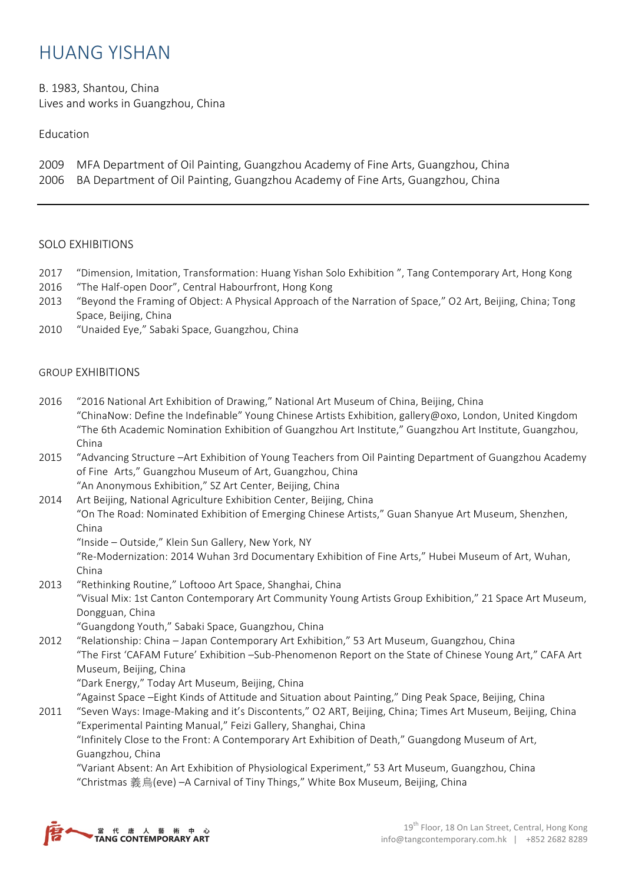## HUANG YISHAN

B. 1983, Shantou, China Lives and works in Guangzhou, China

## Education

- 2009 MFA Department of Oil Painting, Guangzhou Academy of Fine Arts, Guangzhou, China
- 2006 BA Department of Oil Painting, Guangzhou Academy of Fine Arts, Guangzhou, China

## SOLO EXHIBITIONS

- 2017 "Dimension, Imitation, Transformation: Huang Yishan Solo Exhibition ", Tang Contemporary Art, Hong Kong
- 2016 "The Half-open Door", Central Habourfront, Hong Kong
- 2013 "Beyond the Framing of Object: A Physical Approach of the Narration of Space," O2 Art, Beijing, China; Tong Space, Beijing, China
- 2010 "Unaided Eye," Sabaki Space, Guangzhou, China

## GROUP EXHIBITIONS

- 2016 "2016 National Art Exhibition of Drawing," National Art Museum of China, Beijing, China "ChinaNow: Define the Indefinable" Young Chinese Artists Exhibition, gallery@oxo, London, United Kingdom "The 6th Academic Nomination Exhibition of Guangzhou Art Institute," Guangzhou Art Institute, Guangzhou, China
- 2015 "Advancing Structure –Art Exhibition of Young Teachers from Oil Painting Department of Guangzhou Academy of Fine Arts," Guangzhou Museum of Art, Guangzhou, China "An Anonymous Exhibition," SZ Art Center, Beijing, China
- 2014 Art Beijing, National Agriculture Exhibition Center, Beijing, China "On The Road: Nominated Exhibition of Emerging Chinese Artists," Guan Shanyue Art Museum, Shenzhen, China
	- "Inside Outside," Klein Sun Gallery, New York, NY

"Re-Modernization: 2014 Wuhan 3rd Documentary Exhibition of Fine Arts," Hubei Museum of Art, Wuhan, China

2013 "Rethinking Routine," Loftooo Art Space, Shanghai, China "Visual Mix: 1st Canton Contemporary Art Community Young Artists Group Exhibition," 21 Space Art Museum, Dongguan, China

"Guangdong Youth," Sabaki Space, Guangzhou, China

2012 "Relationship: China – Japan Contemporary Art Exhibition," 53 Art Museum, Guangzhou, China "The First 'CAFAM Future' Exhibition –Sub-Phenomenon Report on the State of Chinese Young Art," CAFA Art Museum, Beijing, China

"Dark Energy," Today Art Museum, Beijing, China

"Against Space –Eight Kinds of Attitude and Situation about Painting," Ding Peak Space, Beijing, China

2011 "Seven Ways: Image-Making and it's Discontents," O2 ART, Beijing, China; Times Art Museum, Beijing, China "Experimental Painting Manual," Feizi Gallery, Shanghai, China

"Infinitely Close to the Front: A Contemporary Art Exhibition of Death," Guangdong Museum of Art, Guangzhou, China

"Variant Absent: An Art Exhibition of Physiological Experiment," 53 Art Museum, Guangzhou, China "Christmas 義烏(eve) –A Carnival of Tiny Things," White Box Museum, Beijing, China